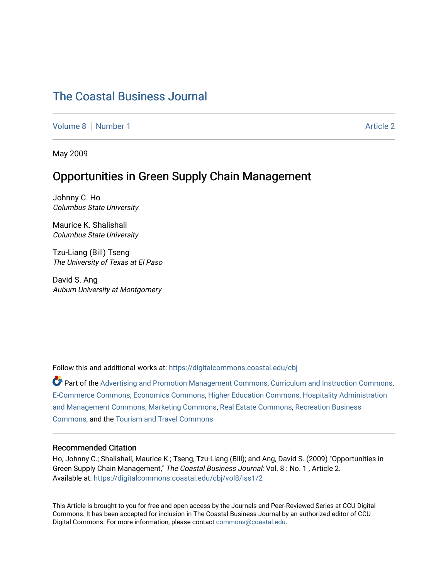# [The Coastal Business Journal](https://digitalcommons.coastal.edu/cbj)

[Volume 8](https://digitalcommons.coastal.edu/cbj/vol8) | [Number 1](https://digitalcommons.coastal.edu/cbj/vol8/iss1) Article 2

May 2009

# Opportunities in Green Supply Chain Management

Johnny C. Ho Columbus State University

Maurice K. Shalishali Columbus State University

Tzu-Liang (Bill) Tseng The University of Texas at El Paso

David S. Ang Auburn University at Montgomery

Follow this and additional works at: [https://digitalcommons.coastal.edu/cbj](https://digitalcommons.coastal.edu/cbj?utm_source=digitalcommons.coastal.edu%2Fcbj%2Fvol8%2Fiss1%2F2&utm_medium=PDF&utm_campaign=PDFCoverPages) 

Part of the [Advertising and Promotion Management Commons,](http://network.bepress.com/hgg/discipline/626?utm_source=digitalcommons.coastal.edu%2Fcbj%2Fvol8%2Fiss1%2F2&utm_medium=PDF&utm_campaign=PDFCoverPages) [Curriculum and Instruction Commons,](http://network.bepress.com/hgg/discipline/786?utm_source=digitalcommons.coastal.edu%2Fcbj%2Fvol8%2Fiss1%2F2&utm_medium=PDF&utm_campaign=PDFCoverPages) [E-Commerce Commons,](http://network.bepress.com/hgg/discipline/624?utm_source=digitalcommons.coastal.edu%2Fcbj%2Fvol8%2Fiss1%2F2&utm_medium=PDF&utm_campaign=PDFCoverPages) [Economics Commons](http://network.bepress.com/hgg/discipline/340?utm_source=digitalcommons.coastal.edu%2Fcbj%2Fvol8%2Fiss1%2F2&utm_medium=PDF&utm_campaign=PDFCoverPages), [Higher Education Commons](http://network.bepress.com/hgg/discipline/1245?utm_source=digitalcommons.coastal.edu%2Fcbj%2Fvol8%2Fiss1%2F2&utm_medium=PDF&utm_campaign=PDFCoverPages), [Hospitality Administration](http://network.bepress.com/hgg/discipline/632?utm_source=digitalcommons.coastal.edu%2Fcbj%2Fvol8%2Fiss1%2F2&utm_medium=PDF&utm_campaign=PDFCoverPages) [and Management Commons,](http://network.bepress.com/hgg/discipline/632?utm_source=digitalcommons.coastal.edu%2Fcbj%2Fvol8%2Fiss1%2F2&utm_medium=PDF&utm_campaign=PDFCoverPages) [Marketing Commons](http://network.bepress.com/hgg/discipline/638?utm_source=digitalcommons.coastal.edu%2Fcbj%2Fvol8%2Fiss1%2F2&utm_medium=PDF&utm_campaign=PDFCoverPages), [Real Estate Commons](http://network.bepress.com/hgg/discipline/641?utm_source=digitalcommons.coastal.edu%2Fcbj%2Fvol8%2Fiss1%2F2&utm_medium=PDF&utm_campaign=PDFCoverPages), [Recreation Business](http://network.bepress.com/hgg/discipline/1083?utm_source=digitalcommons.coastal.edu%2Fcbj%2Fvol8%2Fiss1%2F2&utm_medium=PDF&utm_campaign=PDFCoverPages) [Commons](http://network.bepress.com/hgg/discipline/1083?utm_source=digitalcommons.coastal.edu%2Fcbj%2Fvol8%2Fiss1%2F2&utm_medium=PDF&utm_campaign=PDFCoverPages), and the [Tourism and Travel Commons](http://network.bepress.com/hgg/discipline/1082?utm_source=digitalcommons.coastal.edu%2Fcbj%2Fvol8%2Fiss1%2F2&utm_medium=PDF&utm_campaign=PDFCoverPages)

#### Recommended Citation

Ho, Johnny C.; Shalishali, Maurice K.; Tseng, Tzu-Liang (Bill); and Ang, David S. (2009) "Opportunities in Green Supply Chain Management," The Coastal Business Journal: Vol. 8: No. 1, Article 2. Available at: [https://digitalcommons.coastal.edu/cbj/vol8/iss1/2](https://digitalcommons.coastal.edu/cbj/vol8/iss1/2?utm_source=digitalcommons.coastal.edu%2Fcbj%2Fvol8%2Fiss1%2F2&utm_medium=PDF&utm_campaign=PDFCoverPages)

This Article is brought to you for free and open access by the Journals and Peer-Reviewed Series at CCU Digital Commons. It has been accepted for inclusion in The Coastal Business Journal by an authorized editor of CCU Digital Commons. For more information, please contact [commons@coastal.edu](mailto:commons@coastal.edu).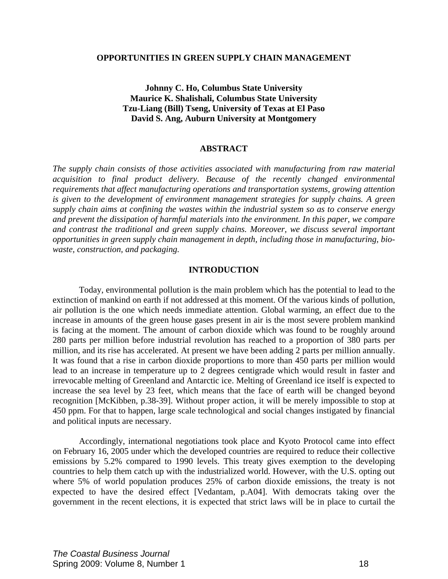### **OPPORTUNITIES IN GREEN SUPPLY CHAIN MANAGEMENT**

# **Johnny C. Ho, Columbus State University Maurice K. Shalishali, Columbus State University Tzu-Liang (Bill) Tseng, University of Texas at El Paso David S. Ang, Auburn University at Montgomery**

### **ABSTRACT**

*The supply chain consists of those activities associated with manufacturing from raw material acquisition to final product delivery. Because of the recently changed environmental requirements that affect manufacturing operations and transportation systems, growing attention is given to the development of environment management strategies for supply chains. A green supply chain aims at confining the wastes within the industrial system so as to conserve energy and prevent the dissipation of harmful materials into the environment. In this paper, we compare and contrast the traditional and green supply chains. Moreover, we discuss several important opportunities in green supply chain management in depth, including those in manufacturing, biowaste, construction, and packaging.* 

### **INTRODUCTION**

 Today, environmental pollution is the main problem which has the potential to lead to the extinction of mankind on earth if not addressed at this moment. Of the various kinds of pollution, air pollution is the one which needs immediate attention. Global warming, an effect due to the increase in amounts of the green house gases present in air is the most severe problem mankind is facing at the moment. The amount of carbon dioxide which was found to be roughly around 280 parts per million before industrial revolution has reached to a proportion of 380 parts per million, and its rise has accelerated. At present we have been adding 2 parts per million annually. It was found that a rise in carbon dioxide proportions to more than 450 parts per million would lead to an increase in temperature up to 2 degrees centigrade which would result in faster and irrevocable melting of Greenland and Antarctic ice. Melting of Greenland ice itself is expected to increase the sea level by 23 feet, which means that the face of earth will be changed beyond recognition [McKibben, p.38-39]. Without proper action, it will be merely impossible to stop at 450 ppm. For that to happen, large scale technological and social changes instigated by financial and political inputs are necessary.

Accordingly, international negotiations took place and Kyoto Protocol came into effect on February 16, 2005 under which the developed countries are required to reduce their collective emissions by 5.2% compared to 1990 levels. This treaty gives exemption to the developing countries to help them catch up with the industrialized world. However, with the U.S. opting out where 5% of world population produces 25% of carbon dioxide emissions, the treaty is not expected to have the desired effect [Vedantam, p.A04]. With democrats taking over the government in the recent elections, it is expected that strict laws will be in place to curtail the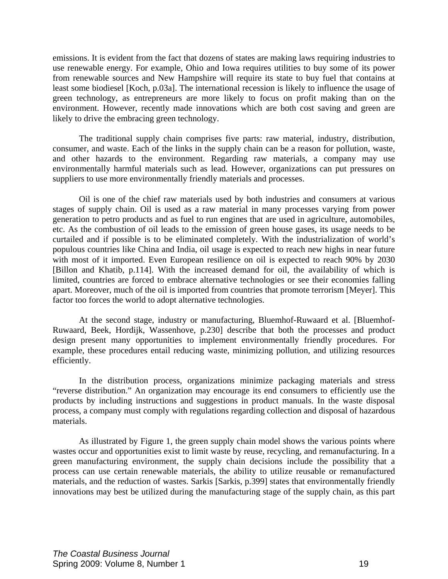emissions. It is evident from the fact that dozens of states are making laws requiring industries to use renewable energy. For example, Ohio and Iowa requires utilities to buy some of its power from renewable sources and New Hampshire will require its state to buy fuel that contains at least some biodiesel [Koch, p.03a]. The international recession is likely to influence the usage of green technology, as entrepreneurs are more likely to focus on profit making than on the environment. However, recently made innovations which are both cost saving and green are likely to drive the embracing green technology.

The traditional supply chain comprises five parts: raw material, industry, distribution, consumer, and waste. Each of the links in the supply chain can be a reason for pollution, waste, and other hazards to the environment. Regarding raw materials, a company may use environmentally harmful materials such as lead. However, organizations can put pressures on suppliers to use more environmentally friendly materials and processes.

Oil is one of the chief raw materials used by both industries and consumers at various stages of supply chain. Oil is used as a raw material in many processes varying from power generation to petro products and as fuel to run engines that are used in agriculture, automobiles, etc. As the combustion of oil leads to the emission of green house gases, its usage needs to be curtailed and if possible is to be eliminated completely. With the industrialization of world's populous countries like China and India, oil usage is expected to reach new highs in near future with most of it imported. Even European resilience on oil is expected to reach 90% by 2030 [Billon and Khatib, p.114]. With the increased demand for oil, the availability of which is limited, countries are forced to embrace alternative technologies or see their economies falling apart. Moreover, much of the oil is imported from countries that promote terrorism [Meyer]. This factor too forces the world to adopt alternative technologies.

 At the second stage, industry or manufacturing, Bluemhof-Ruwaard et al. [Bluemhof-Ruwaard, Beek, Hordijk, Wassenhove, p.230] describe that both the processes and product design present many opportunities to implement environmentally friendly procedures. For example, these procedures entail reducing waste, minimizing pollution, and utilizing resources efficiently.

 In the distribution process, organizations minimize packaging materials and stress "reverse distribution." An organization may encourage its end consumers to efficiently use the products by including instructions and suggestions in product manuals. In the waste disposal process, a company must comply with regulations regarding collection and disposal of hazardous materials.

 As illustrated by Figure 1, the green supply chain model shows the various points where wastes occur and opportunities exist to limit waste by reuse, recycling, and remanufacturing. In a green manufacturing environment, the supply chain decisions include the possibility that a process can use certain renewable materials, the ability to utilize reusable or remanufactured materials, and the reduction of wastes. Sarkis [Sarkis, p.399] states that environmentally friendly innovations may best be utilized during the manufacturing stage of the supply chain, as this part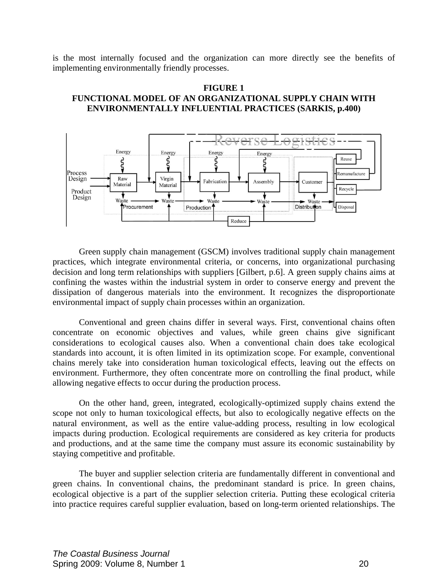is the most internally focused and the organization can more directly see the benefits of implementing environmentally friendly processes.

## **FIGURE 1 FUNCTIONAL MODEL OF AN ORGANIZATIONAL SUPPLY CHAIN WITH ENVIRONMENTALLY INFLUENTIAL PRACTICES (SARKIS, p.400)**



 Green supply chain management (GSCM) involves traditional supply chain management practices, which integrate environmental criteria, or concerns, into organizational purchasing decision and long term relationships with suppliers [Gilbert, p.6]. A green supply chains aims at confining the wastes within the industrial system in order to conserve energy and prevent the dissipation of dangerous materials into the environment. It recognizes the disproportionate environmental impact of supply chain processes within an organization.

 Conventional and green chains differ in several ways. First, conventional chains often concentrate on economic objectives and values, while green chains give significant considerations to ecological causes also. When a conventional chain does take ecological standards into account, it is often limited in its optimization scope. For example, conventional chains merely take into consideration human toxicological effects, leaving out the effects on environment. Furthermore, they often concentrate more on controlling the final product, while allowing negative effects to occur during the production process.

 On the other hand, green, integrated, ecologically-optimized supply chains extend the scope not only to human toxicological effects, but also to ecologically negative effects on the natural environment, as well as the entire value-adding process, resulting in low ecological impacts during production. Ecological requirements are considered as key criteria for products and productions, and at the same time the company must assure its economic sustainability by staying competitive and profitable.

 The buyer and supplier selection criteria are fundamentally different in conventional and green chains. In conventional chains, the predominant standard is price. In green chains, ecological objective is a part of the supplier selection criteria. Putting these ecological criteria into practice requires careful supplier evaluation, based on long-term oriented relationships. The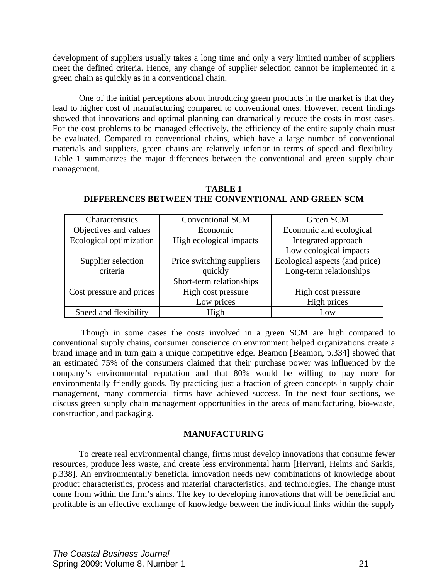development of suppliers usually takes a long time and only a very limited number of suppliers meet the defined criteria. Hence, any change of supplier selection cannot be implemented in a green chain as quickly as in a conventional chain.

 One of the initial perceptions about introducing green products in the market is that they lead to higher cost of manufacturing compared to conventional ones. However, recent findings showed that innovations and optimal planning can dramatically reduce the costs in most cases. For the cost problems to be managed effectively, the efficiency of the entire supply chain must be evaluated. Compared to conventional chains, which have a large number of conventional materials and suppliers, green chains are relatively inferior in terms of speed and flexibility. Table 1 summarizes the major differences between the conventional and green supply chain management.

| Characteristics          | <b>Conventional SCM</b>   | Green SCM                      |
|--------------------------|---------------------------|--------------------------------|
| Objectives and values    | Economic                  | Economic and ecological        |
| Ecological optimization  | High ecological impacts   | Integrated approach            |
|                          |                           | Low ecological impacts         |
| Supplier selection       | Price switching suppliers | Ecological aspects (and price) |
| criteria                 | quickly                   | Long-term relationships        |
|                          | Short-term relationships  |                                |
| Cost pressure and prices | High cost pressure        | High cost pressure             |
|                          | Low prices                | High prices                    |
| Speed and flexibility    | High                      | Low                            |

# **TABLE 1 DIFFERENCES BETWEEN THE CONVENTIONAL AND GREEN SCM**

 Though in some cases the costs involved in a green SCM are high compared to conventional supply chains, consumer conscience on environment helped organizations create a brand image and in turn gain a unique competitive edge. Beamon [Beamon, p.334] showed that an estimated 75% of the consumers claimed that their purchase power was influenced by the company's environmental reputation and that 80% would be willing to pay more for environmentally friendly goods. By practicing just a fraction of green concepts in supply chain management, many commercial firms have achieved success. In the next four sections, we discuss green supply chain management opportunities in the areas of manufacturing, bio-waste, construction, and packaging.

## **MANUFACTURING**

 To create real environmental change, firms must develop innovations that consume fewer resources, produce less waste, and create less environmental harm [Hervani, Helms and Sarkis, p.338]. An environmentally beneficial innovation needs new combinations of knowledge about product characteristics, process and material characteristics, and technologies. The change must come from within the firm's aims. The key to developing innovations that will be beneficial and profitable is an effective exchange of knowledge between the individual links within the supply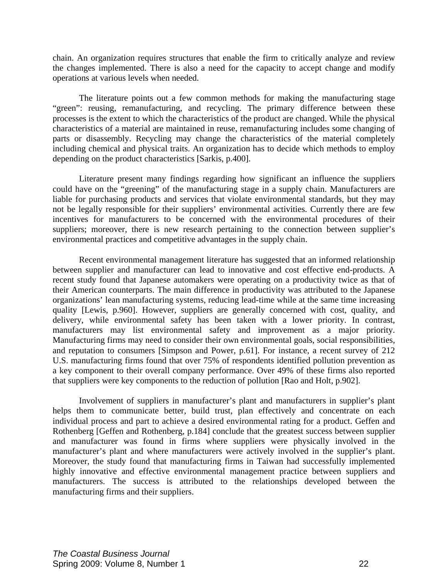chain. An organization requires structures that enable the firm to critically analyze and review the changes implemented. There is also a need for the capacity to accept change and modify operations at various levels when needed.

 The literature points out a few common methods for making the manufacturing stage "green": reusing, remanufacturing, and recycling. The primary difference between these processes is the extent to which the characteristics of the product are changed. While the physical characteristics of a material are maintained in reuse, remanufacturing includes some changing of parts or disassembly. Recycling may change the characteristics of the material completely including chemical and physical traits. An organization has to decide which methods to employ depending on the product characteristics [Sarkis, p.400].

 Literature present many findings regarding how significant an influence the suppliers could have on the "greening" of the manufacturing stage in a supply chain. Manufacturers are liable for purchasing products and services that violate environmental standards, but they may not be legally responsible for their suppliers' environmental activities. Currently there are few incentives for manufacturers to be concerned with the environmental procedures of their suppliers; moreover, there is new research pertaining to the connection between supplier's environmental practices and competitive advantages in the supply chain.

 Recent environmental management literature has suggested that an informed relationship between supplier and manufacturer can lead to innovative and cost effective end-products. A recent study found that Japanese automakers were operating on a productivity twice as that of their American counterparts. The main difference in productivity was attributed to the Japanese organizations' lean manufacturing systems, reducing lead-time while at the same time increasing quality [Lewis, p.960]. However, suppliers are generally concerned with cost, quality, and delivery, while environmental safety has been taken with a lower priority. In contrast, manufacturers may list environmental safety and improvement as a major priority. Manufacturing firms may need to consider their own environmental goals, social responsibilities, and reputation to consumers [Simpson and Power, p.61]. For instance, a recent survey of 212 U.S. manufacturing firms found that over 75% of respondents identified pollution prevention as a key component to their overall company performance. Over 49% of these firms also reported that suppliers were key components to the reduction of pollution [Rao and Holt, p.902].

 Involvement of suppliers in manufacturer's plant and manufacturers in supplier's plant helps them to communicate better, build trust, plan effectively and concentrate on each individual process and part to achieve a desired environmental rating for a product. Geffen and Rothenberg [Geffen and Rothenberg, p.184] conclude that the greatest success between supplier and manufacturer was found in firms where suppliers were physically involved in the manufacturer's plant and where manufacturers were actively involved in the supplier's plant. Moreover, the study found that manufacturing firms in Taiwan had successfully implemented highly innovative and effective environmental management practice between suppliers and manufacturers. The success is attributed to the relationships developed between the manufacturing firms and their suppliers.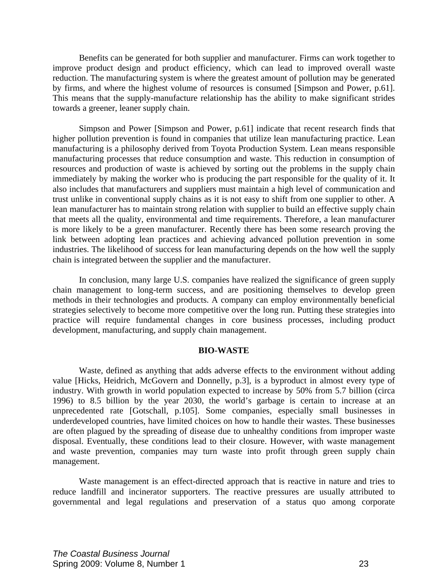Benefits can be generated for both supplier and manufacturer. Firms can work together to improve product design and product efficiency, which can lead to improved overall waste reduction. The manufacturing system is where the greatest amount of pollution may be generated by firms, and where the highest volume of resources is consumed [Simpson and Power, p.61]. This means that the supply-manufacture relationship has the ability to make significant strides towards a greener, leaner supply chain.

 Simpson and Power [Simpson and Power, p.61] indicate that recent research finds that higher pollution prevention is found in companies that utilize lean manufacturing practice. Lean manufacturing is a philosophy derived from Toyota Production System. Lean means responsible manufacturing processes that reduce consumption and waste. This reduction in consumption of resources and production of waste is achieved by sorting out the problems in the supply chain immediately by making the worker who is producing the part responsible for the quality of it. It also includes that manufacturers and suppliers must maintain a high level of communication and trust unlike in conventional supply chains as it is not easy to shift from one supplier to other. A lean manufacturer has to maintain strong relation with supplier to build an effective supply chain that meets all the quality, environmental and time requirements. Therefore, a lean manufacturer is more likely to be a green manufacturer. Recently there has been some research proving the link between adopting lean practices and achieving advanced pollution prevention in some industries. The likelihood of success for lean manufacturing depends on the how well the supply chain is integrated between the supplier and the manufacturer.

 In conclusion, many large U.S. companies have realized the significance of green supply chain management to long-term success, and are positioning themselves to develop green methods in their technologies and products. A company can employ environmentally beneficial strategies selectively to become more competitive over the long run. Putting these strategies into practice will require fundamental changes in core business processes, including product development, manufacturing, and supply chain management.

### **BIO-WASTE**

 Waste, defined as anything that adds adverse effects to the environment without adding value [Hicks, Heidrich, McGovern and Donnelly, p.3], is a byproduct in almost every type of industry. With growth in world population expected to increase by 50% from 5.7 billion (circa 1996) to 8.5 billion by the year 2030, the world's garbage is certain to increase at an unprecedented rate [Gotschall, p.105]. Some companies, especially small businesses in underdeveloped countries, have limited choices on how to handle their wastes. These businesses are often plagued by the spreading of disease due to unhealthy conditions from improper waste disposal. Eventually, these conditions lead to their closure. However, with waste management and waste prevention, companies may turn waste into profit through green supply chain management.

 Waste management is an effect-directed approach that is reactive in nature and tries to reduce landfill and incinerator supporters. The reactive pressures are usually attributed to governmental and legal regulations and preservation of a status quo among corporate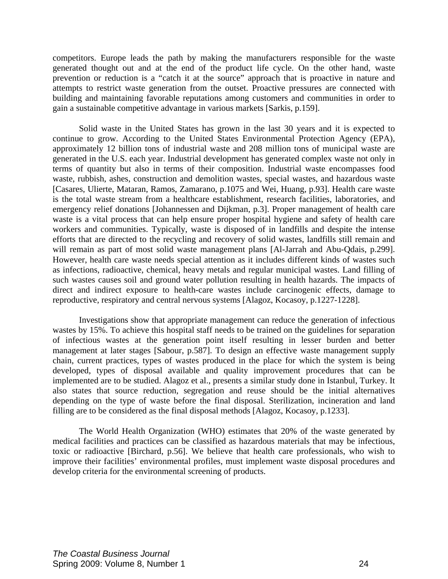competitors. Europe leads the path by making the manufacturers responsible for the waste generated thought out and at the end of the product life cycle. On the other hand, waste prevention or reduction is a "catch it at the source" approach that is proactive in nature and attempts to restrict waste generation from the outset. Proactive pressures are connected with building and maintaining favorable reputations among customers and communities in order to gain a sustainable competitive advantage in various markets [Sarkis, p.159].

 Solid waste in the United States has grown in the last 30 years and it is expected to continue to grow. According to the United States Environmental Protection Agency (EPA), approximately 12 billion tons of industrial waste and 208 million tons of municipal waste are generated in the U.S. each year. Industrial development has generated complex waste not only in terms of quantity but also in terms of their composition. Industrial waste encompasses food waste, rubbish, ashes, construction and demolition wastes, special wastes, and hazardous waste [Casares, Ulierte, Mataran, Ramos, Zamarano, p.1075 and Wei, Huang, p.93]. Health care waste is the total waste stream from a healthcare establishment, research facilities, laboratories, and emergency relief donations [Johannessen and Dijkman, p.3]. Proper management of health care waste is a vital process that can help ensure proper hospital hygiene and safety of health care workers and communities. Typically, waste is disposed of in landfills and despite the intense efforts that are directed to the recycling and recovery of solid wastes, landfills still remain and will remain as part of most solid waste management plans [Al-Jarrah and Abu-Qdais, p.299]. However, health care waste needs special attention as it includes different kinds of wastes such as infections, radioactive, chemical, heavy metals and regular municipal wastes. Land filling of such wastes causes soil and ground water pollution resulting in health hazards. The impacts of direct and indirect exposure to health-care wastes include carcinogenic effects, damage to reproductive, respiratory and central nervous systems [Alagoz, Kocasoy, p.1227-1228].

Investigations show that appropriate management can reduce the generation of infectious wastes by 15%. To achieve this hospital staff needs to be trained on the guidelines for separation of infectious wastes at the generation point itself resulting in lesser burden and better management at later stages [Sabour, p.587]. To design an effective waste management supply chain, current practices, types of wastes produced in the place for which the system is being developed, types of disposal available and quality improvement procedures that can be implemented are to be studied. Alagoz et al., presents a similar study done in Istanbul, Turkey. It also states that source reduction, segregation and reuse should be the initial alternatives depending on the type of waste before the final disposal. Sterilization, incineration and land filling are to be considered as the final disposal methods [Alagoz, Kocasoy, p.1233].

 The World Health Organization (WHO) estimates that 20% of the waste generated by medical facilities and practices can be classified as hazardous materials that may be infectious, toxic or radioactive [Birchard, p.56]. We believe that health care professionals, who wish to improve their facilities' environmental profiles, must implement waste disposal procedures and develop criteria for the environmental screening of products.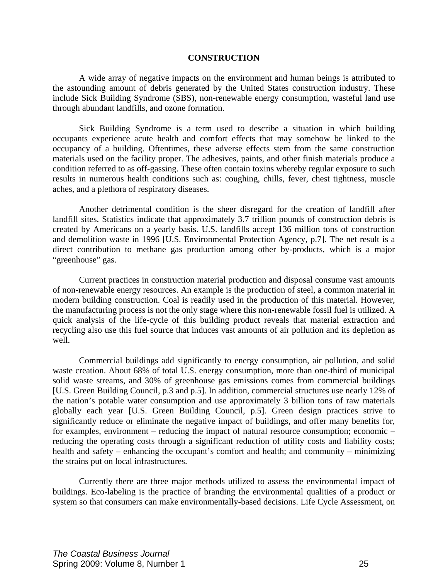### **CONSTRUCTION**

 A wide array of negative impacts on the environment and human beings is attributed to the astounding amount of debris generated by the United States construction industry. These include Sick Building Syndrome (SBS), non-renewable energy consumption, wasteful land use through abundant landfills, and ozone formation.

 Sick Building Syndrome is a term used to describe a situation in which building occupants experience acute health and comfort effects that may somehow be linked to the occupancy of a building. Oftentimes, these adverse effects stem from the same construction materials used on the facility proper. The adhesives, paints, and other finish materials produce a condition referred to as off-gassing. These often contain toxins whereby regular exposure to such results in numerous health conditions such as: coughing, chills, fever, chest tightness, muscle aches, and a plethora of respiratory diseases.

 Another detrimental condition is the sheer disregard for the creation of landfill after landfill sites. Statistics indicate that approximately 3.7 trillion pounds of construction debris is created by Americans on a yearly basis. U.S. landfills accept 136 million tons of construction and demolition waste in 1996 [U.S. Environmental Protection Agency, p.7]. The net result is a direct contribution to methane gas production among other by-products, which is a major "greenhouse" gas.

 Current practices in construction material production and disposal consume vast amounts of non-renewable energy resources. An example is the production of steel, a common material in modern building construction. Coal is readily used in the production of this material. However, the manufacturing process is not the only stage where this non-renewable fossil fuel is utilized. A quick analysis of the life-cycle of this building product reveals that material extraction and recycling also use this fuel source that induces vast amounts of air pollution and its depletion as well.

 Commercial buildings add significantly to energy consumption, air pollution, and solid waste creation. About 68% of total U.S. energy consumption, more than one-third of municipal solid waste streams, and 30% of greenhouse gas emissions comes from commercial buildings [U.S. Green Building Council, p.3 and p.5]. In addition, commercial structures use nearly 12% of the nation's potable water consumption and use approximately 3 billion tons of raw materials globally each year [U.S. Green Building Council, p.5]. Green design practices strive to significantly reduce or eliminate the negative impact of buildings, and offer many benefits for, for examples, environment – reducing the impact of natural resource consumption; economic – reducing the operating costs through a significant reduction of utility costs and liability costs; health and safety – enhancing the occupant's comfort and health; and community – minimizing the strains put on local infrastructures.

 Currently there are three major methods utilized to assess the environmental impact of buildings. Eco-labeling is the practice of branding the environmental qualities of a product or system so that consumers can make environmentally-based decisions. Life Cycle Assessment, on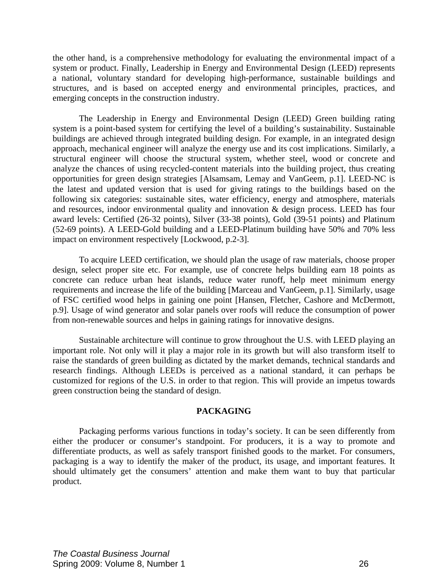the other hand, is a comprehensive methodology for evaluating the environmental impact of a system or product. Finally, Leadership in Energy and Environmental Design (LEED) represents a national, voluntary standard for developing high-performance, sustainable buildings and structures, and is based on accepted energy and environmental principles, practices, and emerging concepts in the construction industry.

The Leadership in Energy and Environmental Design (LEED) Green building rating system is a point-based system for certifying the level of a building's sustainability. Sustainable buildings are achieved through integrated building design. For example, in an integrated design approach, mechanical engineer will analyze the energy use and its cost implications. Similarly, a structural engineer will choose the structural system, whether steel, wood or concrete and analyze the chances of using recycled-content materials into the building project, thus creating opportunities for green design strategies [Alsamsam, Lemay and VanGeem, p.1]. LEED-NC is the latest and updated version that is used for giving ratings to the buildings based on the following six categories: sustainable sites, water efficiency, energy and atmosphere, materials and resources, indoor environmental quality and innovation & design process. LEED has four award levels: Certified (26-32 points), Silver (33-38 points), Gold (39-51 points) and Platinum (52-69 points). A LEED-Gold building and a LEED-Platinum building have 50% and 70% less impact on environment respectively [Lockwood, p.2-3].

To acquire LEED certification, we should plan the usage of raw materials, choose proper design, select proper site etc. For example, use of concrete helps building earn 18 points as concrete can reduce urban heat islands, reduce water runoff, help meet minimum energy requirements and increase the life of the building [Marceau and VanGeem, p.1]. Similarly, usage of FSC certified wood helps in gaining one point [Hansen, Fletcher, Cashore and McDermott, p.9]. Usage of wind generator and solar panels over roofs will reduce the consumption of power from non-renewable sources and helps in gaining ratings for innovative designs.

 Sustainable architecture will continue to grow throughout the U.S. with LEED playing an important role. Not only will it play a major role in its growth but will also transform itself to raise the standards of green building as dictated by the market demands, technical standards and research findings. Although LEEDs is perceived as a national standard, it can perhaps be customized for regions of the U.S. in order to that region. This will provide an impetus towards green construction being the standard of design.

### **PACKAGING**

 Packaging performs various functions in today's society. It can be seen differently from either the producer or consumer's standpoint. For producers, it is a way to promote and differentiate products, as well as safely transport finished goods to the market. For consumers, packaging is a way to identify the maker of the product, its usage, and important features. It should ultimately get the consumers' attention and make them want to buy that particular product.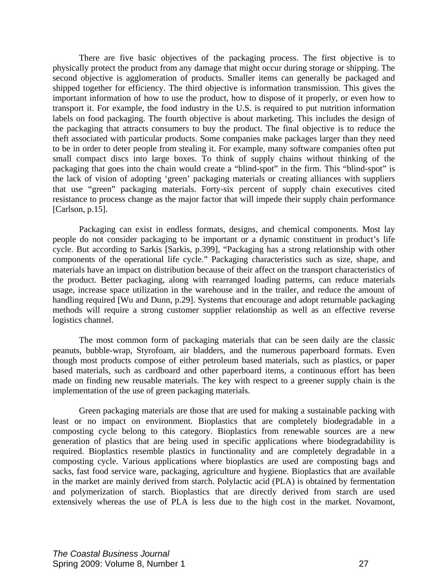There are five basic objectives of the packaging process. The first objective is to physically protect the product from any damage that might occur during storage or shipping. The second objective is agglomeration of products. Smaller items can generally be packaged and shipped together for efficiency. The third objective is information transmission. This gives the important information of how to use the product, how to dispose of it properly, or even how to transport it. For example, the food industry in the U.S. is required to put nutrition information labels on food packaging. The fourth objective is about marketing. This includes the design of the packaging that attracts consumers to buy the product. The final objective is to reduce the theft associated with particular products. Some companies make packages larger than they need to be in order to deter people from stealing it. For example, many software companies often put small compact discs into large boxes. To think of supply chains without thinking of the packaging that goes into the chain would create a "blind-spot" in the firm. This "blind-spot" is the lack of vision of adopting 'green' packaging materials or creating alliances with suppliers that use "green" packaging materials. Forty-six percent of supply chain executives cited resistance to process change as the major factor that will impede their supply chain performance [Carlson, p.15].

 Packaging can exist in endless formats, designs, and chemical components. Most lay people do not consider packaging to be important or a dynamic constituent in product's life cycle. But according to Sarkis [Sarkis, p.399], "Packaging has a strong relationship with other components of the operational life cycle." Packaging characteristics such as size, shape, and materials have an impact on distribution because of their affect on the transport characteristics of the product. Better packaging, along with rearranged loading patterns, can reduce materials usage, increase space utilization in the warehouse and in the trailer, and reduce the amount of handling required [Wu and Dunn, p.29]. Systems that encourage and adopt returnable packaging methods will require a strong customer supplier relationship as well as an effective reverse logistics channel.

 The most common form of packaging materials that can be seen daily are the classic peanuts, bubble-wrap, Styrofoam, air bladders, and the numerous paperboard formats. Even though most products compose of either petroleum based materials, such as plastics, or paper based materials, such as cardboard and other paperboard items, a continuous effort has been made on finding new reusable materials. The key with respect to a greener supply chain is the implementation of the use of green packaging materials.

Green packaging materials are those that are used for making a sustainable packing with least or no impact on environment. Bioplastics that are completely biodegradable in a composting cycle belong to this category. Bioplastics from renewable sources are a new generation of plastics that are being used in specific applications where biodegradability is required. Bioplastics resemble plastics in functionality and are completely degradable in a composting cycle. Various applications where bioplastics are used are composting bags and sacks, fast food service ware, packaging, agriculture and hygiene. Bioplastics that are available in the market are mainly derived from starch. Polylactic acid (PLA) is obtained by fermentation and polymerization of starch. Bioplastics that are directly derived from starch are used extensively whereas the use of PLA is less due to the high cost in the market. Novamont,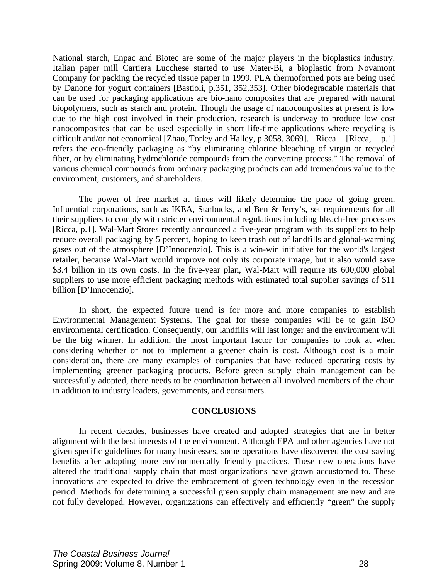National starch, Enpac and Biotec are some of the major players in the bioplastics industry. Italian paper mill Cartiera Lucchese started to use Mater-Bi, a bioplastic from Novamont Company for packing the recycled tissue paper in 1999. PLA thermoformed pots are being used by Danone for yogurt containers [Bastioli, p.351, 352,353]. Other biodegradable materials that can be used for packaging applications are bio-nano composites that are prepared with natural biopolymers, such as starch and protein. Though the usage of nanocomposites at present is low due to the high cost involved in their production, research is underway to produce low cost nanocomposites that can be used especially in short life-time applications where recycling is difficult and/or not economical [Zhao, Torley and Halley, p.3058, 3069]. Ricca [Ricca, p.1] refers the eco-friendly packaging as "by eliminating chlorine bleaching of virgin or recycled fiber, or by eliminating hydrochloride compounds from the converting process." The removal of various chemical compounds from ordinary packaging products can add tremendous value to the environment, customers, and shareholders.

 The power of free market at times will likely determine the pace of going green. Influential corporations, such as IKEA, Starbucks, and Ben & Jerry's, set requirements for all their suppliers to comply with stricter environmental regulations including bleach-free processes [Ricca, p.1]. Wal-Mart Stores recently announced a five-year program with its suppliers to help reduce overall packaging by 5 percent, hoping to keep trash out of landfills and global-warming gases out of the atmosphere [D'Innocenzio]. This is a win-win initiative for the world's largest retailer, because Wal-Mart would improve not only its corporate image, but it also would save \$3.4 billion in its own costs. In the five-year plan, Wal-Mart will require its 600,000 global suppliers to use more efficient packaging methods with estimated total supplier savings of \$11 billion [D'Innocenzio].

 In short, the expected future trend is for more and more companies to establish Environmental Management Systems. The goal for these companies will be to gain ISO environmental certification. Consequently, our landfills will last longer and the environment will be the big winner. In addition, the most important factor for companies to look at when considering whether or not to implement a greener chain is cost. Although cost is a main consideration, there are many examples of companies that have reduced operating costs by implementing greener packaging products. Before green supply chain management can be successfully adopted, there needs to be coordination between all involved members of the chain in addition to industry leaders, governments, and consumers.

### **CONCLUSIONS**

 In recent decades, businesses have created and adopted strategies that are in better alignment with the best interests of the environment. Although EPA and other agencies have not given specific guidelines for many businesses, some operations have discovered the cost saving benefits after adopting more environmentally friendly practices. These new operations have altered the traditional supply chain that most organizations have grown accustomed to. These innovations are expected to drive the embracement of green technology even in the recession period. Methods for determining a successful green supply chain management are new and are not fully developed. However, organizations can effectively and efficiently "green" the supply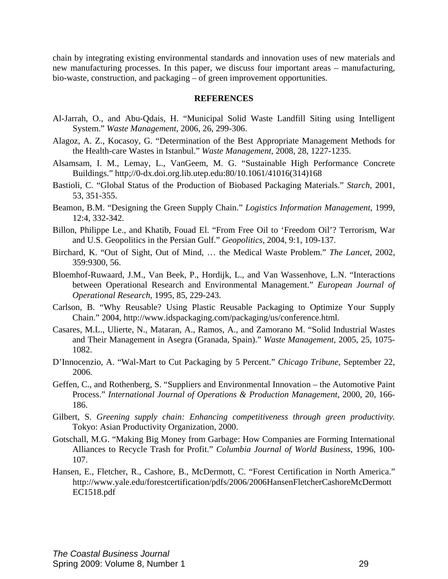chain by integrating existing environmental standards and innovation uses of new materials and new manufacturing processes. In this paper, we discuss four important areas – manufacturing, bio-waste, construction, and packaging – of green improvement opportunities.

### **REFERENCES**

- Al-Jarrah, O., and Abu-Qdais, H. "Municipal Solid Waste Landfill Siting using Intelligent System." *Waste Management*, 2006, 26, 299-306.
- Alagoz, A. Z., Kocasoy, G. "Determination of the Best Appropriate Management Methods for the Health-care Wastes in Istanbul." *Waste Management*, 2008, 28, 1227-1235.
- Alsamsam, I. M., Lemay, L., VanGeem, M. G. "Sustainable High Performance Concrete Buildings." http;//0-dx.doi.org.lib.utep.edu:80/10.1061/41016(314)168
- Bastioli, C. "Global Status of the Production of Biobased Packaging Materials." *Starch*, 2001, 53, 351-355.
- Beamon, B.M. "Designing the Green Supply Chain." *Logistics Information Management*, 1999, 12:4, 332-342.
- Billon, Philippe Le., and Khatib, Fouad El. "From Free Oil to 'Freedom Oil'? Terrorism, War and U.S. Geopolitics in the Persian Gulf." *Geopolitics*, 2004, 9:1, 109-137.
- Birchard, K. "Out of Sight, Out of Mind, … the Medical Waste Problem." *The Lancet*, 2002, 359:9300, 56.
- Bloemhof-Ruwaard, J.M., Van Beek, P., Hordijk, L., and Van Wassenhove, L.N. "Interactions between Operational Research and Environmental Management." *European Journal of Operational Research*, 1995, 85, 229-243.
- Carlson, B. "Why Reusable? Using Plastic Reusable Packaging to Optimize Your Supply Chain." 2004, http://www.idspackaging.com/packaging/us/conference.html.
- Casares, M.L., Ulierte, N., Mataran, A., Ramos, A., and Zamorano M. "Solid Industrial Wastes and Their Management in Asegra (Granada, Spain)." *Waste Management*, 2005, 25, 1075- 1082.
- D'Innocenzio, A. "Wal-Mart to Cut Packaging by 5 Percent." *Chicago Tribune*, September 22, 2006.
- Geffen, C., and Rothenberg, S. "Suppliers and Environmental Innovation the Automotive Paint Process." *International Journal of Operations & Production Management*, 2000, 20, 166- 186.
- Gilbert, S. *Greening supply chain: Enhancing competitiveness through green productivity.* Tokyo: Asian Productivity Organization, 2000.
- Gotschall, M.G. "Making Big Money from Garbage: How Companies are Forming International Alliances to Recycle Trash for Profit." *Columbia Journal of World Business*, 1996, 100- 107.
- Hansen, E., Fletcher, R., Cashore, B., McDermott, C. "Forest Certification in North America." http://www.yale.edu/forestcertification/pdfs/2006/2006HansenFletcherCashoreMcDermott EC1518.pdf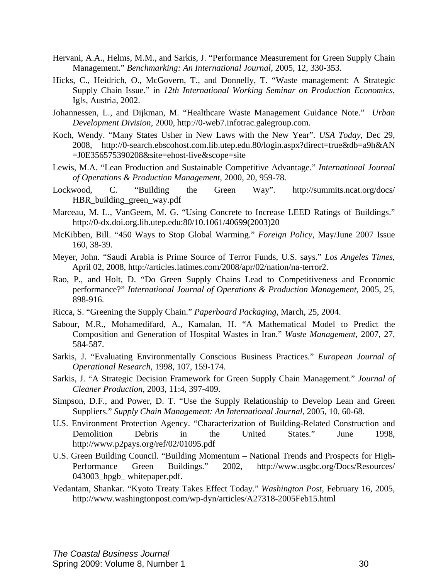- Hervani, A.A., Helms, M.M., and Sarkis, J. "Performance Measurement for Green Supply Chain Management." *Benchmarking: An International Journal*, 2005, 12, 330-353.
- Hicks, C., Heidrich, O., McGovern, T., and Donnelly, T. "Waste management: A Strategic Supply Chain Issue." in *12th International Working Seminar on Production Economics*, Igls, Austria, 2002.
- Johannessen, L., and Dijkman, M. "Healthcare Waste Management Guidance Note." *Urban Development Division*, 2000, http://0-web7.infotrac.galegroup.com.
- Koch, Wendy. "Many States Usher in New Laws with the New Year". *USA Today*, Dec 29, 2008, http://0-search.ebscohost.com.lib.utep.edu.80/login.aspx?direct=true&db=a9h&AN =J0E356575390208&site=ehost-live&scope=site
- Lewis, M.A. "Lean Production and Sustainable Competitive Advantage." *International Journal of Operations & Production Management*, 2000, 20, 959-78.
- Lockwood, C. "Building the Green Way". http://summits.ncat.org/docs/ HBR\_building\_green\_way.pdf
- Marceau, M. L., VanGeem, M. G. "Using Concrete to Increase LEED Ratings of Buildings." http://0-dx.doi.org.lib.utep.edu:80/10.1061/40699(2003)20
- McKibben, Bill. "450 Ways to Stop Global Warming." *Foreign Policy*, May/June 2007 Issue 160, 38-39.
- Meyer, John. "Saudi Arabia is Prime Source of Terror Funds, U.S. says." *Los Angeles Times*, April 02, 2008, http://articles.latimes.com/2008/apr/02/nation/na-terror2.
- Rao, P., and Holt, D. "Do Green Supply Chains Lead to Competitiveness and Economic performance?" *International Journal of Operations & Production Management*, 2005, 25, 898-916.
- Ricca, S. "Greening the Supply Chain." *Paperboard Packaging*, March, 25, 2004.
- Sabour, M.R., Mohamedifard, A., Kamalan, H. "A Mathematical Model to Predict the Composition and Generation of Hospital Wastes in Iran." *Waste Management*, 2007, 27, 584-587.
- Sarkis, J. "Evaluating Environmentally Conscious Business Practices." *European Journal of Operational Research*, 1998, 107, 159-174.
- Sarkis, J. "A Strategic Decision Framework for Green Supply Chain Management." *Journal of Cleaner Production*, 2003, 11:4, 397-409.
- Simpson, D.F., and Power, D. T. "Use the Supply Relationship to Develop Lean and Green Suppliers." *Supply Chain Management: An International Journal*, 2005, 10, 60-68.
- U.S. Environment Protection Agency. "Characterization of Building-Related Construction and Demolition Debris in the United States." June 1998, http://www.p2pays.org/ref/02/01095.pdf
- U.S. Green Building Council. "Building Momentum National Trends and Prospects for High-Performance Green Buildings." 2002, http://www.usgbc.org/Docs/Resources/ 043003\_hpgb\_ whitepaper.pdf.
- Vedantam, Shankar. "Kyoto Treaty Takes Effect Today." *Washington Post*, February 16, 2005, http://www.washingtonpost.com/wp-dyn/articles/A27318-2005Feb15.html